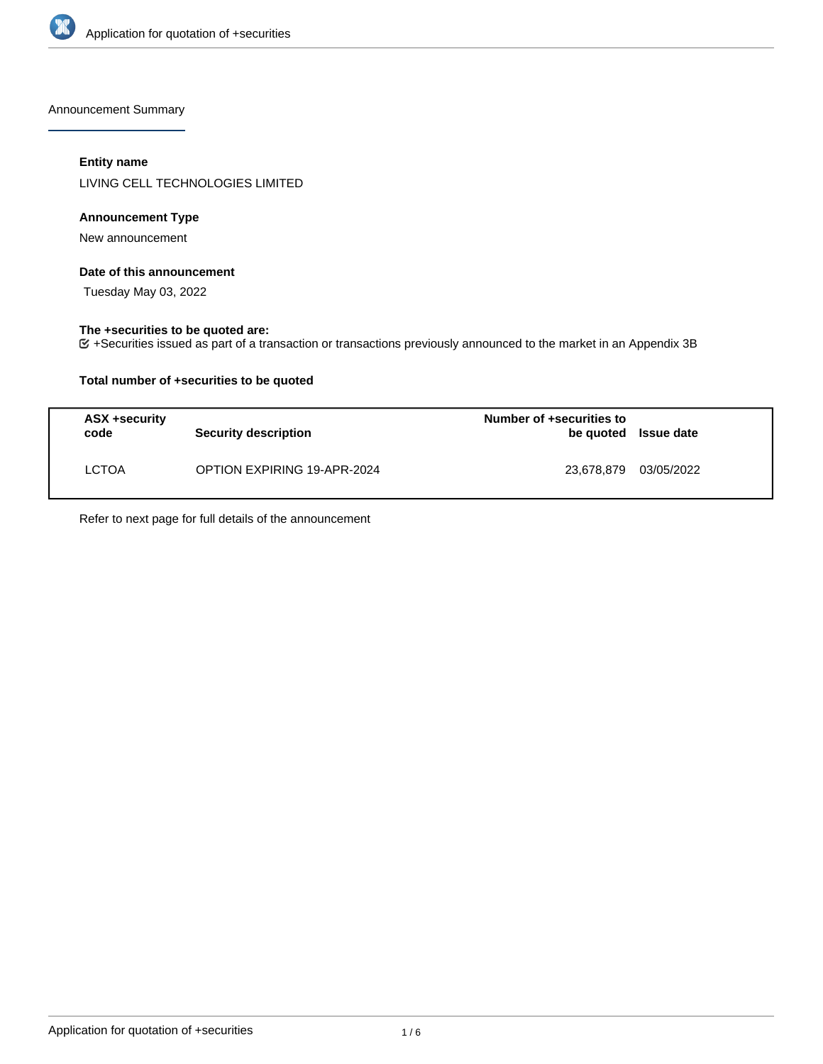

Announcement Summary

# **Entity name**

LIVING CELL TECHNOLOGIES LIMITED

### **Announcement Type**

New announcement

### **Date of this announcement**

Tuesday May 03, 2022

### **The +securities to be quoted are:**

+Securities issued as part of a transaction or transactions previously announced to the market in an Appendix 3B

### **Total number of +securities to be quoted**

| ASX +security<br>code | <b>Security description</b> | Number of +securities to<br>be quoted Issue date |            |
|-----------------------|-----------------------------|--------------------------------------------------|------------|
| LCTOA                 | OPTION EXPIRING 19-APR-2024 | 23.678.879                                       | 03/05/2022 |

Refer to next page for full details of the announcement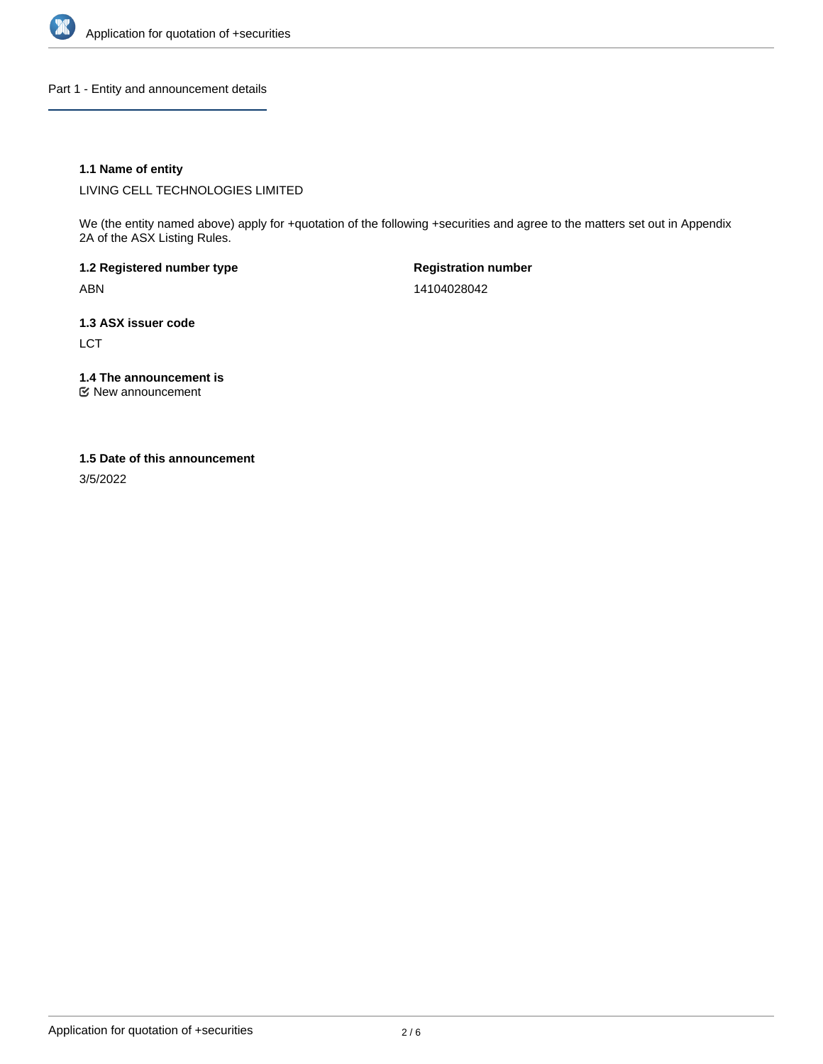

Part 1 - Entity and announcement details

### **1.1 Name of entity**

LIVING CELL TECHNOLOGIES LIMITED

We (the entity named above) apply for +quotation of the following +securities and agree to the matters set out in Appendix 2A of the ASX Listing Rules.

**1.2 Registered number type** ABN

**Registration number** 14104028042

**1.3 ASX issuer code LCT** 

**1.4 The announcement is**

New announcement

#### **1.5 Date of this announcement**

3/5/2022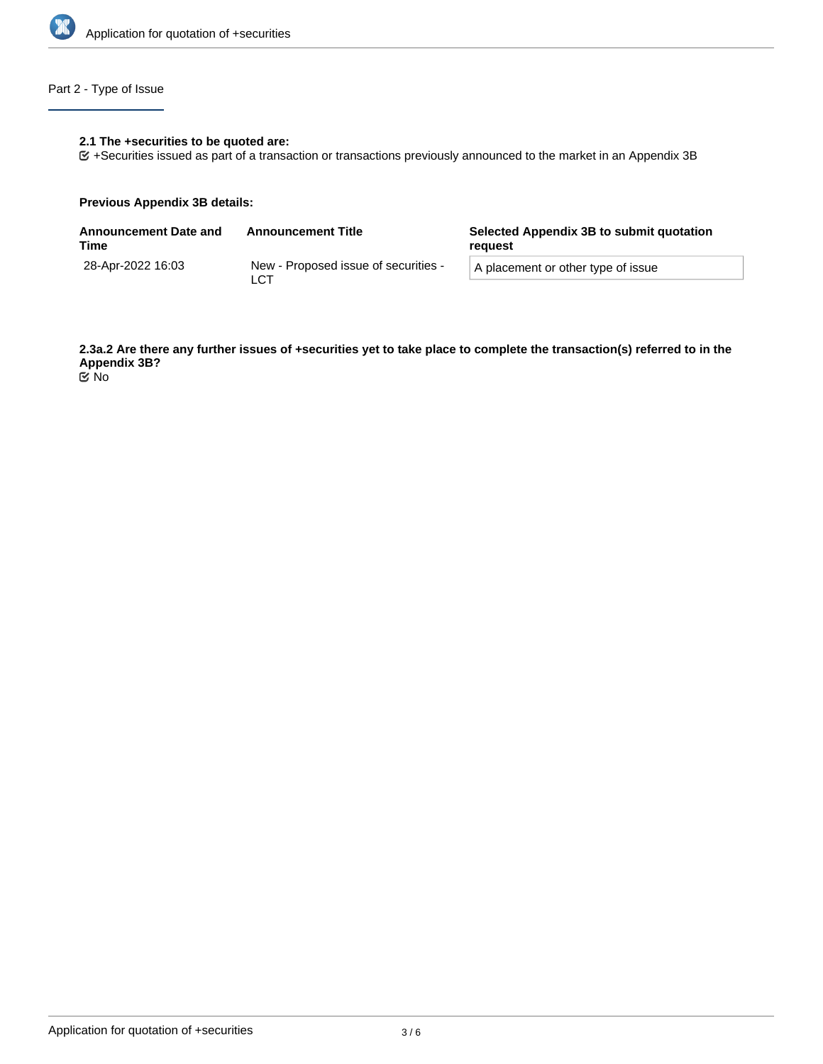

# Part 2 - Type of Issue

### **2.1 The +securities to be quoted are:**

+Securities issued as part of a transaction or transactions previously announced to the market in an Appendix 3B

#### **Previous Appendix 3B details:**

| <b>Announcement Date and</b><br>Time | <b>Announcement Title</b>                   | Selected Appendix 3B to submit quotation<br>reauest |  |
|--------------------------------------|---------------------------------------------|-----------------------------------------------------|--|
| 28-Apr-2022 16:03                    | New - Proposed issue of securities -<br>LCT | A placement or other type of issue                  |  |

**2.3a.2 Are there any further issues of +securities yet to take place to complete the transaction(s) referred to in the Appendix 3B?**

No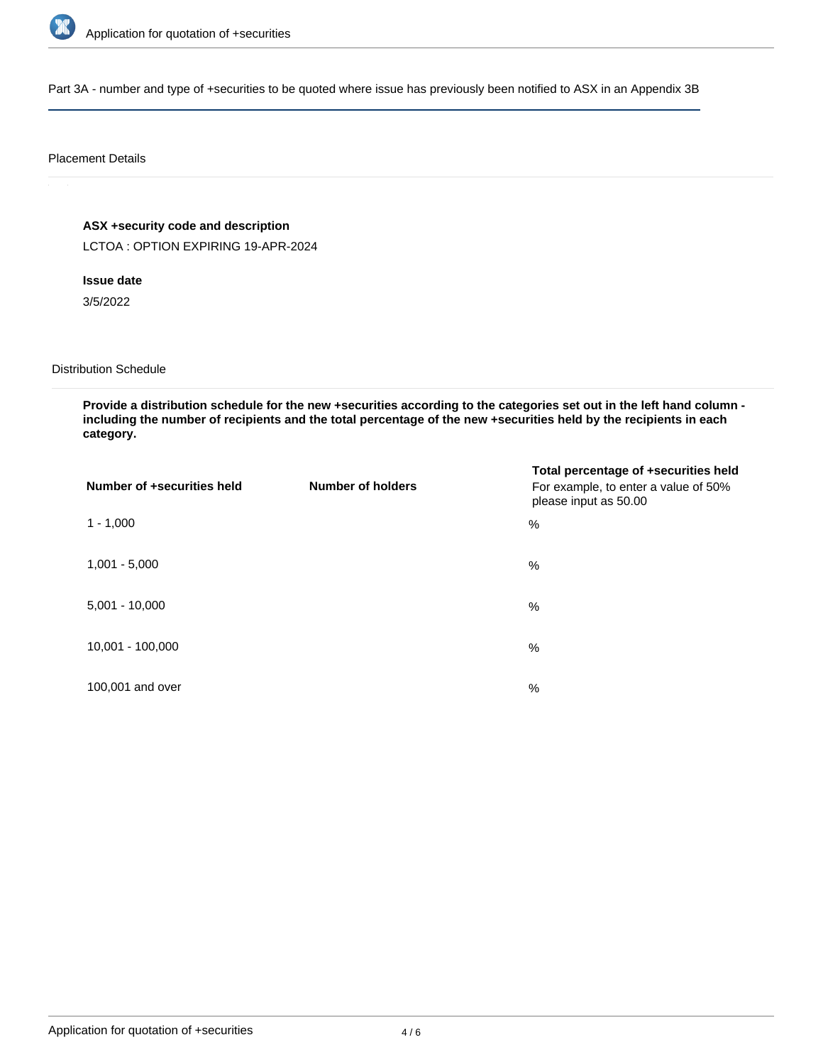

Part 3A - number and type of +securities to be quoted where issue has previously been notified to ASX in an Appendix 3B

#### Placement Details

## **ASX +security code and description**

LCTOA : OPTION EXPIRING 19-APR-2024

# **Issue date**

3/5/2022

#### Distribution Schedule

**Provide a distribution schedule for the new +securities according to the categories set out in the left hand column including the number of recipients and the total percentage of the new +securities held by the recipients in each category.**

| Number of +securities held | <b>Number of holders</b> | Total percentage of +securities held<br>For example, to enter a value of 50%<br>please input as 50.00 |
|----------------------------|--------------------------|-------------------------------------------------------------------------------------------------------|
| $1 - 1,000$                |                          | $\%$                                                                                                  |
| $1,001 - 5,000$            |                          | $\%$                                                                                                  |
| $5,001 - 10,000$           |                          | $\%$                                                                                                  |
| 10,001 - 100,000           |                          | $\%$                                                                                                  |
| 100,001 and over           |                          | $\%$                                                                                                  |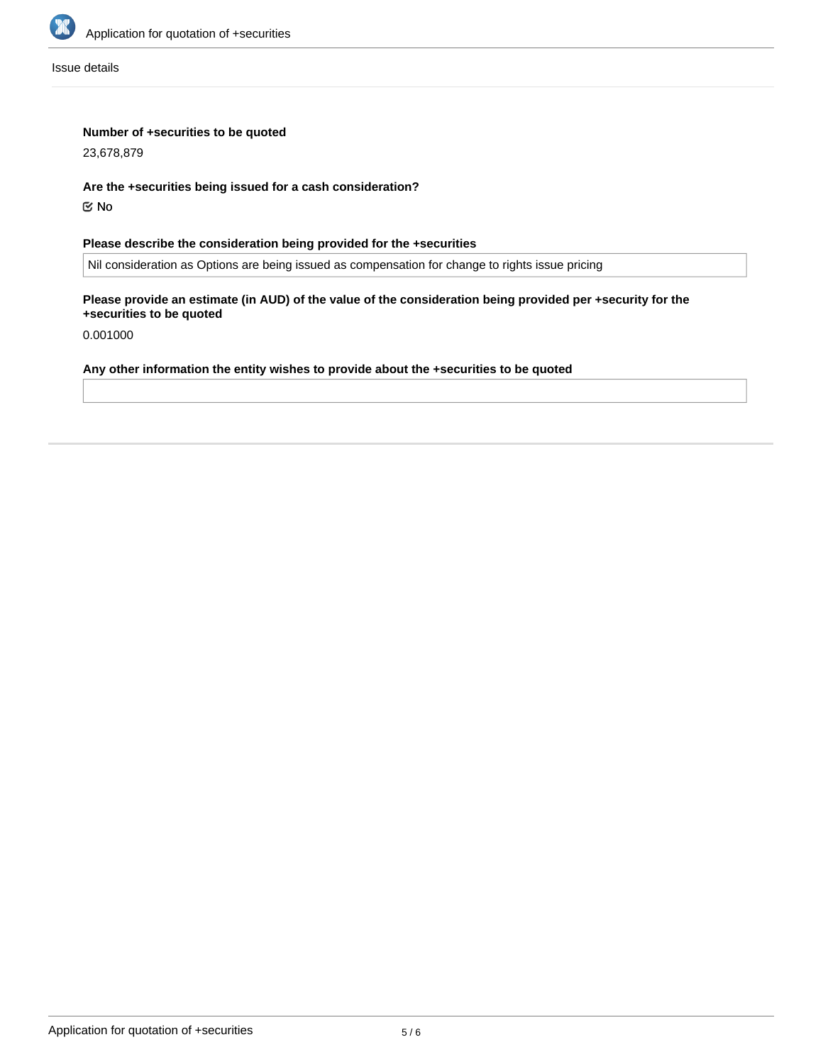

Issue details

### **Number of +securities to be quoted**

23,678,879

#### **Are the +securities being issued for a cash consideration?**

No

# **Please describe the consideration being provided for the +securities**

Nil consideration as Options are being issued as compensation for change to rights issue pricing

# **Please provide an estimate (in AUD) of the value of the consideration being provided per +security for the +securities to be quoted**

0.001000

# **Any other information the entity wishes to provide about the +securities to be quoted**